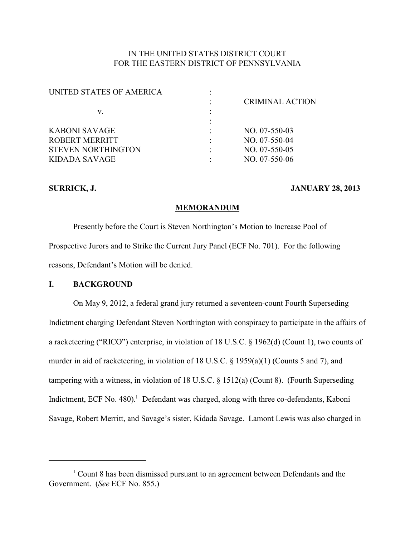## IN THE UNITED STATES DISTRICT COURT FOR THE EASTERN DISTRICT OF PENNSYLVANIA

| UNITED STATES OF AMERICA  |                        |
|---------------------------|------------------------|
|                           | <b>CRIMINAL ACTION</b> |
| v.                        |                        |
|                           |                        |
| KABONI SAVAGE             | $NO. 07-550-03$        |
| ROBERT MERRITT            | $NO. 07-550-04$        |
| <b>STEVEN NORTHINGTON</b> | $NO. 07-550-05$        |
| KIDADA SAVAGE             | $NO. 07-550-06$        |
|                           |                        |

#### **SURRICK, J. JANUARY 28, 2013**

#### **MEMORANDUM**

Presently before the Court is Steven Northington's Motion to Increase Pool of Prospective Jurors and to Strike the Current Jury Panel (ECF No. 701). For the following reasons, Defendant's Motion will be denied.

## **I. BACKGROUND**

On May 9, 2012, a federal grand jury returned a seventeen-count Fourth Superseding Indictment charging Defendant Steven Northington with conspiracy to participate in the affairs of a racketeering ("RICO") enterprise, in violation of 18 U.S.C. § 1962(d) (Count 1), two counts of murder in aid of racketeering, in violation of 18 U.S.C. § 1959(a)(1) (Counts 5 and 7), and tampering with a witness, in violation of 18 U.S.C. § 1512(a) (Count 8). (Fourth Superseding Indictment, ECF No. 480).<sup>1</sup> Defendant was charged, along with three co-defendants, Kaboni Savage, Robert Merritt, and Savage's sister, Kidada Savage. Lamont Lewis was also charged in

 $1$  Count 8 has been dismissed pursuant to an agreement between Defendants and the Government. (*See* ECF No. 855.)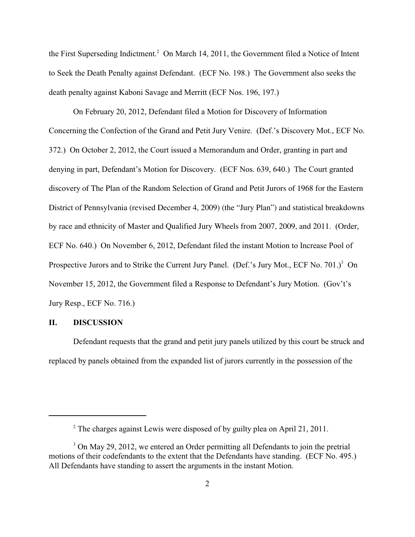the First Superseding Indictment.<sup>2</sup> On March 14, 2011, the Government filed a Notice of Intent to Seek the Death Penalty against Defendant. (ECF No. 198.) The Government also seeks the death penalty against Kaboni Savage and Merritt (ECF Nos. 196, 197.)

On February 20, 2012, Defendant filed a Motion for Discovery of Information Concerning the Confection of the Grand and Petit Jury Venire. (Def.'s Discovery Mot., ECF No. 372.) On October 2, 2012, the Court issued a Memorandum and Order, granting in part and denying in part, Defendant's Motion for Discovery. (ECF Nos. 639, 640.) The Court granted discovery of The Plan of the Random Selection of Grand and Petit Jurors of 1968 for the Eastern District of Pennsylvania (revised December 4, 2009) (the "Jury Plan") and statistical breakdowns by race and ethnicity of Master and Qualified Jury Wheels from 2007, 2009, and 2011. (Order, ECF No. 640.) On November 6, 2012, Defendant filed the instant Motion to Increase Pool of Prospective Jurors and to Strike the Current Jury Panel. (Def.'s Jury Mot., ECF No. 701.)<sup>3</sup> On November 15, 2012, the Government filed a Response to Defendant's Jury Motion. (Gov't's Jury Resp., ECF No. 716.)

### **II. DISCUSSION**

Defendant requests that the grand and petit jury panels utilized by this court be struck and replaced by panels obtained from the expanded list of jurors currently in the possession of the

 $2$  The charges against Lewis were disposed of by guilty plea on April 21, 2011.

<sup>&</sup>lt;sup>3</sup> On May 29, 2012, we entered an Order permitting all Defendants to join the pretrial motions of their codefendants to the extent that the Defendants have standing. (ECF No. 495.) All Defendants have standing to assert the arguments in the instant Motion.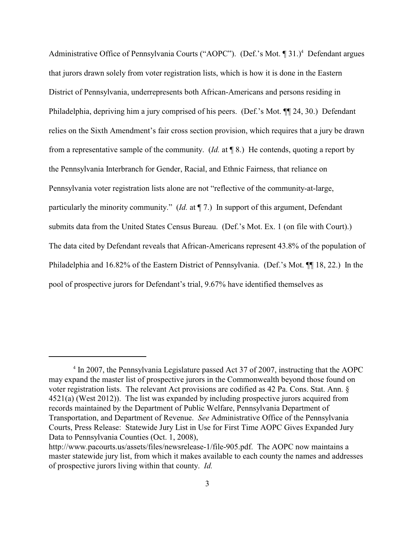Administrative Office of Pennsylvania Courts ("AOPC"). (Def.'s Mot.  $\P$  31.)<sup>4</sup> Defendant argues that jurors drawn solely from voter registration lists, which is how it is done in the Eastern District of Pennsylvania, underrepresents both African-Americans and persons residing in Philadelphia, depriving him a jury comprised of his peers. (Def.'s Mot. ¶¶ 24, 30.) Defendant relies on the Sixth Amendment's fair cross section provision, which requires that a jury be drawn from a representative sample of the community. (*Id.* at ¶ 8.) He contends, quoting a report by the Pennsylvania Interbranch for Gender, Racial, and Ethnic Fairness, that reliance on Pennsylvania voter registration lists alone are not "reflective of the community-at-large, particularly the minority community." (*Id.* at  $\P$  7.) In support of this argument, Defendant submits data from the United States Census Bureau. (Def.'s Mot. Ex. 1 (on file with Court).) The data cited by Defendant reveals that African-Americans represent 43.8% of the population of Philadelphia and 16.82% of the Eastern District of Pennsylvania. (Def.'s Mot. ¶¶ 18, 22.) In the pool of prospective jurors for Defendant's trial, 9.67% have identified themselves as

 $\rm{^{4}}$  In 2007, the Pennsylvania Legislature passed Act 37 of 2007, instructing that the AOPC may expand the master list of prospective jurors in the Commonwealth beyond those found on voter registration lists. The relevant Act provisions are codified as 42 Pa. Cons. Stat. Ann. § 4521(a) (West 2012)). The list was expanded by including prospective jurors acquired from records maintained by the Department of Public Welfare, Pennsylvania Department of Transportation, and Department of Revenue. *See* Administrative Office of the Pennsylvania Courts, Press Release: Statewide Jury List in Use for First Time AOPC Gives Expanded Jury Data to Pennsylvania Counties (Oct. 1, 2008),

http://www.pacourts.us/assets/files/newsrelease-1/file-905.pdf. The AOPC now maintains a master statewide jury list, from which it makes available to each county the names and addresses of prospective jurors living within that county. *Id.*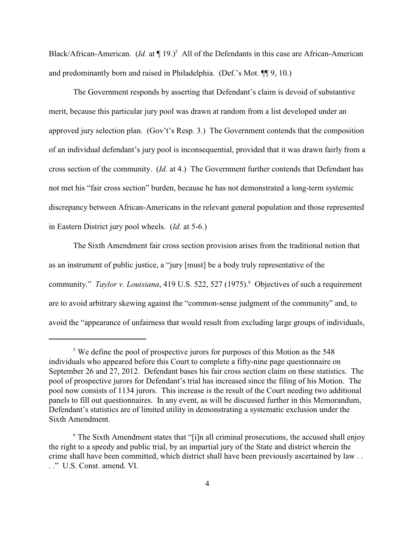Black/African-American. (*Id.* at  $\P$  19.)<sup>5</sup> All of the Defendants in this case are African-American and predominantly born and raised in Philadelphia. (Def.'s Mot. ¶¶ 9, 10.)

The Government responds by asserting that Defendant's claim is devoid of substantive merit, because this particular jury pool was drawn at random from a list developed under an approved jury selection plan. (Gov't's Resp. 3.) The Government contends that the composition of an individual defendant's jury pool is inconsequential, provided that it was drawn fairly from a cross section of the community. (*Id.* at 4.) The Government further contends that Defendant has not met his "fair cross section" burden, because he has not demonstrated a long-term systemic discrepancy between African-Americans in the relevant general population and those represented in Eastern District jury pool wheels. (*Id.* at 5-6.)

The Sixth Amendment fair cross section provision arises from the traditional notion that as an instrument of public justice, a "jury [must] be a body truly representative of the community." *Taylor v. Louisiana*, 419 U.S. 522, 527 (1975).<sup>6</sup> Objectives of such a requirement are to avoid arbitrary skewing against the "common-sense judgment of the community" and, to avoid the "appearance of unfairness that would result from excluding large groups of individuals,

 $\frac{5}{3}$  We define the pool of prospective jurors for purposes of this Motion as the 548 individuals who appeared before this Court to complete a fifty-nine page questionnaire on September 26 and 27, 2012. Defendant bases his fair cross section claim on these statistics. The pool of prospective jurors for Defendant's trial has increased since the filing of his Motion. The pool now consists of 1134 jurors. This increase is the result of the Court needing two additional panels to fill out questionnaires. In any event, as will be discussed further in this Memorandum, Defendant's statistics are of limited utility in demonstrating a systematic exclusion under the Sixth Amendment.

 $\delta$  The Sixth Amendment states that "[i]n all criminal prosecutions, the accused shall enjoy the right to a speedy and public trial, by an impartial jury of the State and district wherein the crime shall have been committed, which district shall have been previously ascertained by law . . . ." U.S. Const. amend. VI.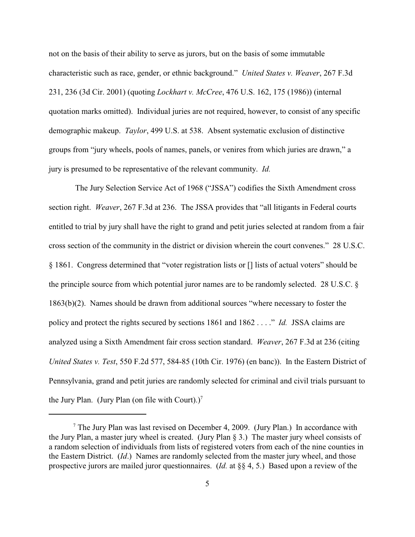not on the basis of their ability to serve as jurors, but on the basis of some immutable characteristic such as race, gender, or ethnic background." *United States v. Weaver*, 267 F.3d 231, 236 (3d Cir. 2001) (quoting *Lockhart v. McCree*, 476 U.S. 162, 175 (1986)) (internal quotation marks omitted). Individual juries are not required, however, to consist of any specific demographic makeup. *Taylor*, 499 U.S. at 538. Absent systematic exclusion of distinctive groups from "jury wheels, pools of names, panels, or venires from which juries are drawn," a jury is presumed to be representative of the relevant community. *Id.*

 The Jury Selection Service Act of 1968 ("JSSA") codifies the Sixth Amendment cross section right. *Weaver*, 267 F.3d at 236. The JSSA provides that "all litigants in Federal courts entitled to trial by jury shall have the right to grand and petit juries selected at random from a fair cross section of the community in the district or division wherein the court convenes." 28 U.S.C. § 1861. Congress determined that "voter registration lists or [] lists of actual voters" should be the principle source from which potential juror names are to be randomly selected. 28 U.S.C. § 1863(b)(2). Names should be drawn from additional sources "where necessary to foster the policy and protect the rights secured by sections 1861 and 1862 . . . ."*Id.*JSSA claims are analyzed using a Sixth Amendment fair cross section standard. *Weaver*, 267 F.3d at 236 (citing *United States v. Test*, 550 F.2d 577, 584-85 (10th Cir. 1976) (en banc)).In the Eastern District of Pennsylvania, grand and petit juries are randomly selected for criminal and civil trials pursuant to the Jury Plan. (Jury Plan (on file with Court).)<sup>7</sup>

 $\frac{7}{7}$  The Jury Plan was last revised on December 4, 2009. (Jury Plan.) In accordance with the Jury Plan, a master jury wheel is created. (Jury Plan § 3.) The master jury wheel consists of a random selection of individuals from lists of registered voters from each of the nine counties in the Eastern District. (*Id*.) Names are randomly selected from the master jury wheel, and those prospective jurors are mailed juror questionnaires. (*Id.* at §§ 4, 5.) Based upon a review of the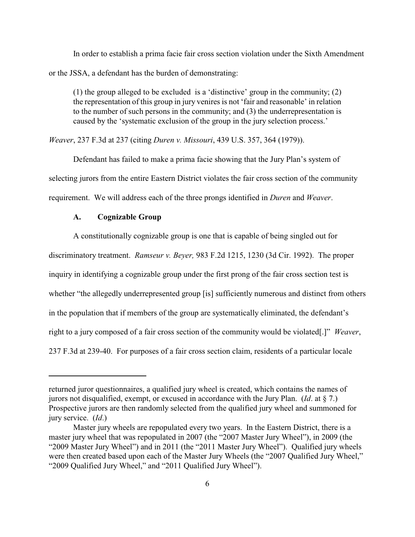In order to establish a prima facie fair cross section violation under the Sixth Amendment or the JSSA, a defendant has the burden of demonstrating:

(1) the group alleged to be excluded is a 'distinctive' group in the community; (2) the representation of this group in jury venires is not 'fair and reasonable' in relation to the number of such persons in the community; and (3) the underrepresentation is caused by the 'systematic exclusion of the group in the jury selection process.'

*Weaver*, 237 F.3d at 237 (citing *Duren v. Missouri*, 439 U.S. 357, 364 (1979)).

Defendant has failed to make a prima facie showing that the Jury Plan's system of selecting jurors from the entire Eastern District violates the fair cross section of the community requirement. We will address each of the three prongs identified in *Duren* and *Weaver*.

### **A. Cognizable Group**

A constitutionally cognizable group is one that is capable of being singled out for

discriminatory treatment. *Ramseur v. Beyer,* 983 F.2d 1215, 1230 (3d Cir. 1992). The proper

inquiry in identifying a cognizable group under the first prong of the fair cross section test is

whether "the allegedly underrepresented group [is] sufficiently numerous and distinct from others

in the population that if members of the group are systematically eliminated, the defendant's

right to a jury composed of a fair cross section of the community would be violated[.]" *Weaver*,

237 F.3d at 239-40. For purposes of a fair cross section claim, residents of a particular locale

returned juror questionnaires, a qualified jury wheel is created, which contains the names of jurors not disqualified, exempt, or excused in accordance with the Jury Plan. (*Id*. at § 7.) Prospective jurors are then randomly selected from the qualified jury wheel and summoned for jury service. (*Id*.)

Master jury wheels are repopulated every two years. In the Eastern District, there is a master jury wheel that was repopulated in 2007 (the "2007 Master Jury Wheel"), in 2009 (the "2009 Master Jury Wheel") and in 2011 (the "2011 Master Jury Wheel"). Qualified jury wheels were then created based upon each of the Master Jury Wheels (the "2007 Qualified Jury Wheel," "2009 Qualified Jury Wheel," and "2011 Qualified Jury Wheel").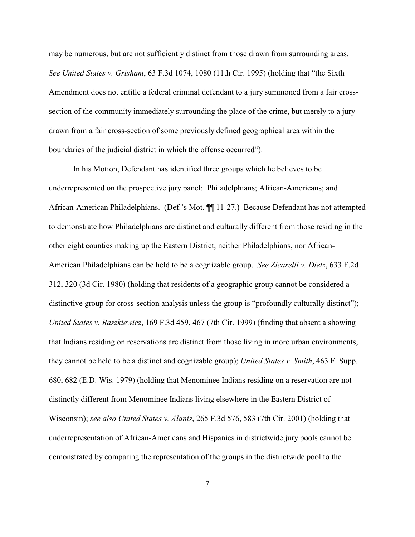may be numerous, but are not sufficiently distinct from those drawn from surrounding areas. *See United States v. Grisham*, 63 F.3d 1074, 1080 (11th Cir. 1995) (holding that "the Sixth Amendment does not entitle a federal criminal defendant to a jury summoned from a fair crosssection of the community immediately surrounding the place of the crime, but merely to a jury drawn from a fair cross-section of some previously defined geographical area within the boundaries of the judicial district in which the offense occurred").

In his Motion, Defendant has identified three groups which he believes to be underrepresented on the prospective jury panel: Philadelphians; African-Americans; and African-American Philadelphians. (Def.'s Mot. ¶¶ 11-27.) Because Defendant has not attempted to demonstrate how Philadelphians are distinct and culturally different from those residing in the other eight counties making up the Eastern District, neither Philadelphians, nor African-American Philadelphians can be held to be a cognizable group. *See Zicarelli v. Dietz*, 633 F.2d 312, 320 (3d Cir. 1980) (holding that residents of a geographic group cannot be considered a distinctive group for cross-section analysis unless the group is "profoundly culturally distinct"); *United States v. Raszkiewicz*, 169 F.3d 459, 467 (7th Cir. 1999) (finding that absent a showing that Indians residing on reservations are distinct from those living in more urban environments, they cannot be held to be a distinct and cognizable group); *United States v. Smith*, 463 F. Supp. 680, 682 (E.D. Wis. 1979) (holding that Menominee Indians residing on a reservation are not distinctly different from Menominee Indians living elsewhere in the Eastern District of Wisconsin); *see also United States v. Alanis*, 265 F.3d 576, 583 (7th Cir. 2001) (holding that underrepresentation of African-Americans and Hispanics in districtwide jury pools cannot be demonstrated by comparing the representation of the groups in the districtwide pool to the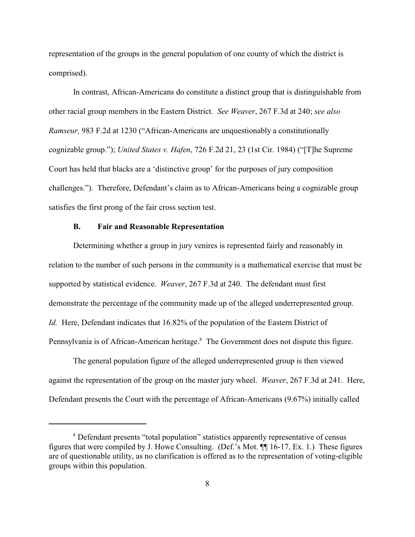representation of the groups in the general population of one county of which the district is comprised).

In contrast, African-Americans do constitute a distinct group that is distinguishable from other racial group members in the Eastern District. *See Weaver*, 267 F.3d at 240; *see also Ramseur,* 983 F.2d at 1230 ("African-Americans are unquestionably a constitutionally cognizable group."); *United States v. Hafen*, 726 F.2d 21, 23 (1st Cir. 1984) ("[T]he Supreme Court has held that blacks are a 'distinctive group' for the purposes of jury composition challenges."). Therefore, Defendant's claim as to African-Americans being a cognizable group satisfies the first prong of the fair cross section test.

#### **B. Fair and Reasonable Representation**

Determining whether a group in jury venires is represented fairly and reasonably in relation to the number of such persons in the community is a mathematical exercise that must be supported by statistical evidence. *Weaver*, 267 F.3d at 240. The defendant must first demonstrate the percentage of the community made up of the alleged underrepresented group. *Id.* Here, Defendant indicates that 16.82% of the population of the Eastern District of Pennsylvania is of African-American heritage.<sup>8</sup> The Government does not dispute this figure.

The general population figure of the alleged underrepresented group is then viewed against the representation of the group on the master jury wheel. *Weaver*, 267 F.3d at 241. Here, Defendant presents the Court with the percentage of African-Americans (9.67%) initially called

<sup>&</sup>lt;sup>8</sup> Defendant presents "total population" statistics apparently representative of census figures that were compiled by J. Howe Consulting. (Def.'s Mot. ¶¶ 16-17, Ex. 1.) These figures are of questionable utility, as no clarification is offered as to the representation of voting-eligible groups within this population.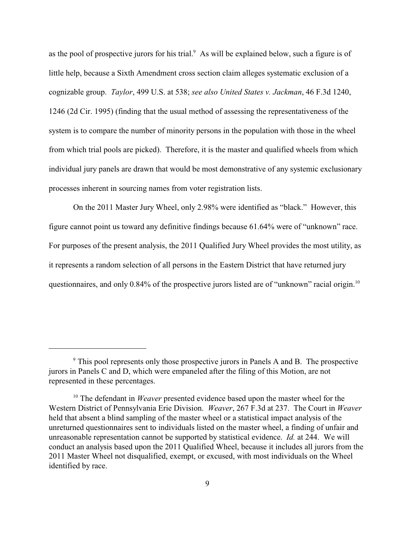as the pool of prospective jurors for his trial. $\alpha$  As will be explained below, such a figure is of little help, because a Sixth Amendment cross section claim alleges systematic exclusion of a cognizable group. *Taylor*, 499 U.S. at 538; *see also United States v. Jackman*, 46 F.3d 1240, 1246 (2d Cir. 1995) (finding that the usual method of assessing the representativeness of the system is to compare the number of minority persons in the population with those in the wheel from which trial pools are picked). Therefore, it is the master and qualified wheels from which individual jury panels are drawn that would be most demonstrative of any systemic exclusionary processes inherent in sourcing names from voter registration lists.

On the 2011 Master Jury Wheel, only 2.98% were identified as "black." However, this figure cannot point us toward any definitive findings because 61.64% were of "unknown" race. For purposes of the present analysis, the 2011 Qualified Jury Wheel provides the most utility, as it represents a random selection of all persons in the Eastern District that have returned jury questionnaires, and only 0.84% of the prospective jurors listed are of "unknown" racial origin.<sup>10</sup>

<sup>&</sup>lt;sup>9</sup> This pool represents only those prospective jurors in Panels A and B. The prospective jurors in Panels C and D, which were empaneled after the filing of this Motion, are not represented in these percentages.

<sup>&</sup>lt;sup>10</sup> The defendant in *Weaver* presented evidence based upon the master wheel for the Western District of Pennsylvania Erie Division. *Weaver*, 267 F.3d at 237. The Court in *Weaver* held that absent a blind sampling of the master wheel or a statistical impact analysis of the unreturned questionnaires sent to individuals listed on the master wheel, a finding of unfair and unreasonable representation cannot be supported by statistical evidence. *Id.* at 244. We will conduct an analysis based upon the 2011 Qualified Wheel, because it includes all jurors from the 2011 Master Wheel not disqualified, exempt, or excused, with most individuals on the Wheel identified by race.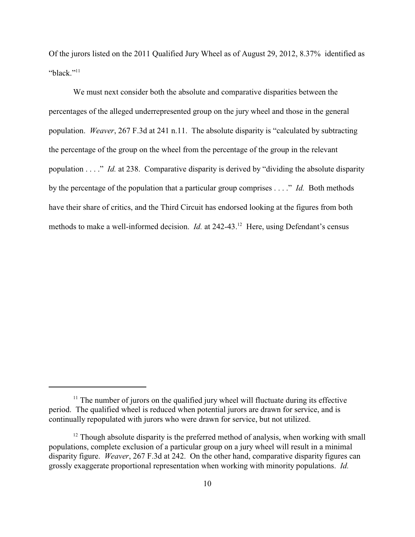Of the jurors listed on the 2011 Qualified Jury Wheel as of August 29, 2012, 8.37% identified as "black." $\frac{1}{1}$ 

We must next consider both the absolute and comparative disparities between the percentages of the alleged underrepresented group on the jury wheel and those in the general population. *Weaver*, 267 F.3d at 241 n.11. The absolute disparity is "calculated by subtracting the percentage of the group on the wheel from the percentage of the group in the relevant population . . . ." *Id.* at 238. Comparative disparity is derived by "dividing the absolute disparity by the percentage of the population that a particular group comprises . . . ." *Id.* Both methods have their share of critics, and the Third Circuit has endorsed looking at the figures from both methods to make a well-informed decision. *Id.* at 242-43.<sup>12</sup> Here, using Defendant's census

 $<sup>11</sup>$  The number of jurors on the qualified jury wheel will fluctuate during its effective</sup> period. The qualified wheel is reduced when potential jurors are drawn for service, and is continually repopulated with jurors who were drawn for service, but not utilized.

 $12$  Though absolute disparity is the preferred method of analysis, when working with small populations, complete exclusion of a particular group on a jury wheel will result in a minimal disparity figure. *Weaver*, 267 F.3d at 242. On the other hand, comparative disparity figures can grossly exaggerate proportional representation when working with minority populations. *Id.*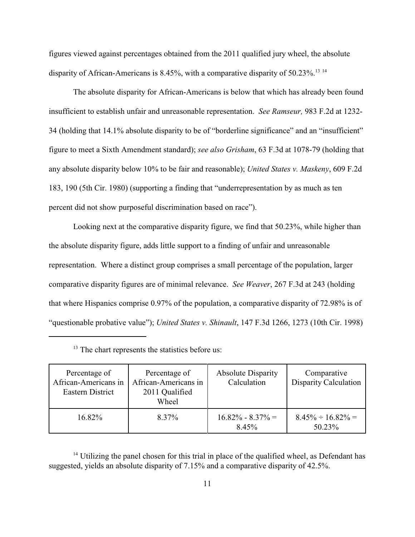figures viewed against percentages obtained from the 2011 qualified jury wheel, the absolute disparity of African-Americans is 8.45%, with a comparative disparity of 50.23%.<sup>13 14</sup>

The absolute disparity for African-Americans is below that which has already been found insufficient to establish unfair and unreasonable representation. *See Ramseur,* 983 F.2d at 1232- 34 (holding that 14.1% absolute disparity to be of "borderline significance" and an "insufficient" figure to meet a Sixth Amendment standard); *see also Grisham*, 63 F.3d at 1078-79 (holding that any absolute disparity below 10% to be fair and reasonable); *United States v. Maskeny*, 609 F.2d 183, 190 (5th Cir. 1980) (supporting a finding that "underrepresentation by as much as ten percent did not show purposeful discrimination based on race").

Looking next at the comparative disparity figure, we find that 50.23%, while higher than the absolute disparity figure, adds little support to a finding of unfair and unreasonable representation. Where a distinct group comprises a small percentage of the population, larger comparative disparity figures are of minimal relevance. *See Weaver*, 267 F.3d at 243 (holding that where Hispanics comprise 0.97% of the population, a comparative disparity of 72.98% is of "questionable probative value"); *United States v. Shinault*, 147 F.3d 1266, 1273 (10th Cir. 1998)

| Percentage of<br>African-Americans in<br>Eastern District | Percentage of<br>African-Americans in<br>2011 Qualified<br>Wheel | <b>Absolute Disparity</b><br>Calculation | Comparative<br><b>Disparity Calculation</b> |
|-----------------------------------------------------------|------------------------------------------------------------------|------------------------------------------|---------------------------------------------|
| $16.82\%$                                                 | 8.37%                                                            | $16.82\% - 8.37\% =$<br>8.45%            | $8.45\% \div 16.82\% =$<br>50.23%           |

 $13$  The chart represents the statistics before us:

 $14$  Utilizing the panel chosen for this trial in place of the qualified wheel, as Defendant has suggested, yields an absolute disparity of 7.15% and a comparative disparity of 42.5%.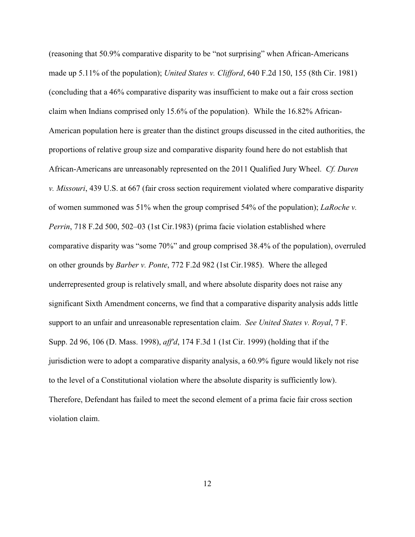(reasoning that 50.9% comparative disparity to be "not surprising" when African-Americans made up 5.11% of the population); *United States v. Clifford*, 640 F.2d 150, 155 (8th Cir. 1981) (concluding that a 46% comparative disparity was insufficient to make out a fair cross section claim when Indians comprised only 15.6% of the population). While the 16.82% African-American population here is greater than the distinct groups discussed in the cited authorities, the proportions of relative group size and comparative disparity found here do not establish that African-Americans are unreasonably represented on the 2011 Qualified Jury Wheel. *Cf. Duren v. Missouri*, 439 U.S. at 667 (fair cross section requirement violated where comparative disparity of women summoned was 51% when the group comprised 54% of the population); *LaRoche v. Perrin*, 718 F.2d 500, 502–03 (1st Cir.1983) (prima facie violation established where comparative disparity was "some 70%" and group comprised 38.4% of the population), overruled on other grounds by *Barber v. Ponte*, 772 F.2d 982 (1st Cir.1985). Where the alleged underrepresented group is relatively small, and where absolute disparity does not raise any significant Sixth Amendment concerns, we find that a comparative disparity analysis adds little support to an unfair and unreasonable representation claim. *See United States v. Royal*, 7 F. Supp. 2d 96, 106 (D. Mass. 1998), *aff'd*, 174 F.3d 1 (1st Cir. 1999) (holding that if the jurisdiction were to adopt a comparative disparity analysis, a 60.9% figure would likely not rise to the level of a Constitutional violation where the absolute disparity is sufficiently low). Therefore, Defendant has failed to meet the second element of a prima facie fair cross section violation claim.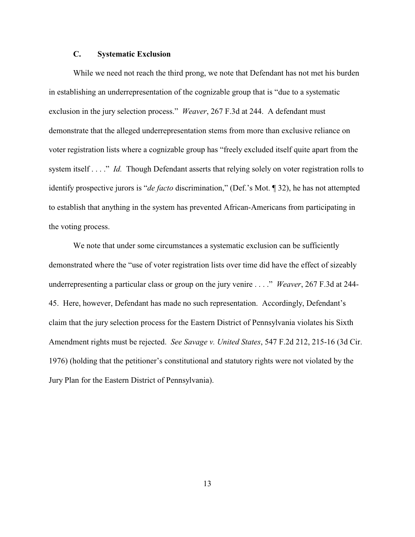## **C. Systematic Exclusion**

While we need not reach the third prong, we note that Defendant has not met his burden in establishing an underrepresentation of the cognizable group that is "due to a systematic exclusion in the jury selection process." *Weaver*, 267 F.3d at 244. A defendant must demonstrate that the alleged underrepresentation stems from more than exclusive reliance on voter registration lists where a cognizable group has "freely excluded itself quite apart from the system itself . . . ." *Id.* Though Defendant asserts that relying solely on voter registration rolls to identify prospective jurors is "*de facto* discrimination," (Def.'s Mot. ¶ 32), he has not attempted to establish that anything in the system has prevented African-Americans from participating in the voting process.

We note that under some circumstances a systematic exclusion can be sufficiently demonstrated where the "use of voter registration lists over time did have the effect of sizeably underrepresenting a particular class or group on the jury venire . . . ." *Weaver*, 267 F.3d at 244- 45. Here, however, Defendant has made no such representation. Accordingly, Defendant's claim that the jury selection process for the Eastern District of Pennsylvania violates his Sixth Amendment rights must be rejected. *See Savage v. United States*, 547 F.2d 212, 215-16 (3d Cir. 1976) (holding that the petitioner's constitutional and statutory rights were not violated by the Jury Plan for the Eastern District of Pennsylvania).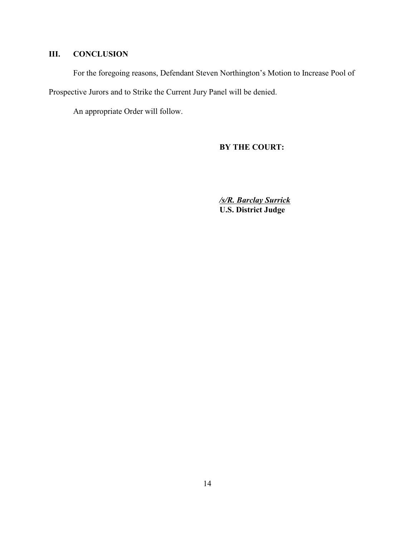# **III. CONCLUSION**

For the foregoing reasons, Defendant Steven Northington's Motion to Increase Pool of

Prospective Jurors and to Strike the Current Jury Panel will be denied.

An appropriate Order will follow.

# **BY THE COURT:**

*/s/R. Barclay Surrick* **U.S. District Judge**